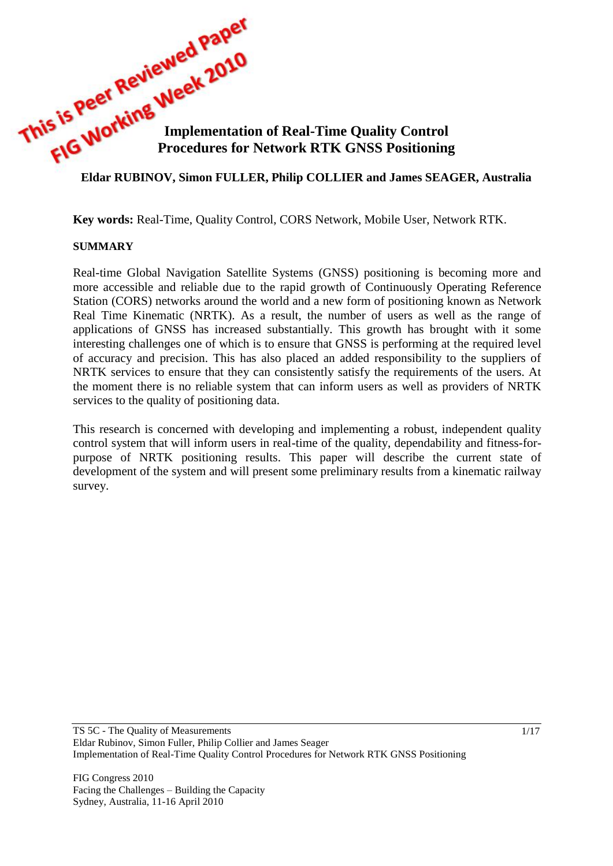**This is Peer The Week 2010**<br>**Implementation of Real-Time Quality Control**<br>**Eldar RIDDYS Procedures for Network RTK GNSS Positioning**

### **Eldar RUBINOV, Simon FULLER, Philip COLLIER and James SEAGER, Australia**

**Key words:** Real-Time, Quality Control, CORS Network, Mobile User, Network RTK.

#### **SUMMARY**

Real-time Global Navigation Satellite Systems (GNSS) positioning is becoming more and more accessible and reliable due to the rapid growth of Continuously Operating Reference Station (CORS) networks around the world and a new form of positioning known as Network Real Time Kinematic (NRTK). As a result, the number of users as well as the range of applications of GNSS has increased substantially. This growth has brought with it some interesting challenges one of which is to ensure that GNSS is performing at the required level of accuracy and precision. This has also placed an added responsibility to the suppliers of NRTK services to ensure that they can consistently satisfy the requirements of the users. At the moment there is no reliable system that can inform users as well as providers of NRTK services to the quality of positioning data.

This research is concerned with developing and implementing a robust, independent quality control system that will inform users in real-time of the quality, dependability and fitness-forpurpose of NRTK positioning results. This paper will describe the current state of development of the system and will present some preliminary results from a kinematic railway survey.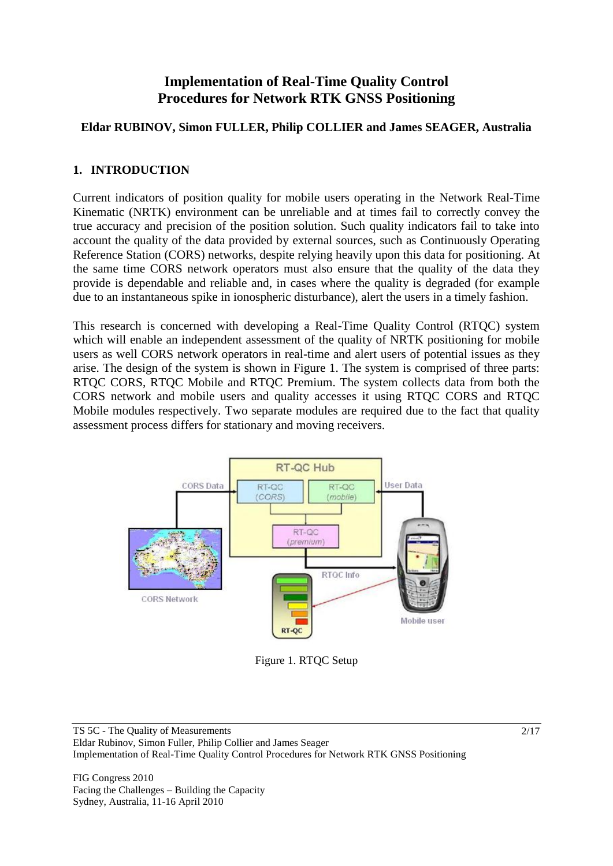# **Implementation of Real-Time Quality Control Procedures for Network RTK GNSS Positioning**

### **Eldar RUBINOV, Simon FULLER, Philip COLLIER and James SEAGER, Australia**

### **1. INTRODUCTION**

Current indicators of position quality for mobile users operating in the Network Real-Time Kinematic (NRTK) environment can be unreliable and at times fail to correctly convey the true accuracy and precision of the position solution. Such quality indicators fail to take into account the quality of the data provided by external sources, such as Continuously Operating Reference Station (CORS) networks, despite relying heavily upon this data for positioning. At the same time CORS network operators must also ensure that the quality of the data they provide is dependable and reliable and, in cases where the quality is degraded (for example due to an instantaneous spike in ionospheric disturbance), alert the users in a timely fashion.

This research is concerned with developing a Real-Time Quality Control (RTQC) system which will enable an independent assessment of the quality of NRTK positioning for mobile users as well CORS network operators in real-time and alert users of potential issues as they arise. The design of the system is shown in Figure 1. The system is comprised of three parts: RTQC CORS, RTQC Mobile and RTQC Premium. The system collects data from both the CORS network and mobile users and quality accesses it using RTQC CORS and RTQC Mobile modules respectively. Two separate modules are required due to the fact that quality assessment process differs for stationary and moving receivers.



Figure 1. RTQC Setup

TS 5C - The Quality of Measurements Eldar Rubinov, Simon Fuller, Philip Collier and James Seager Implementation of Real-Time Quality Control Procedures for Network RTK GNSS Positioning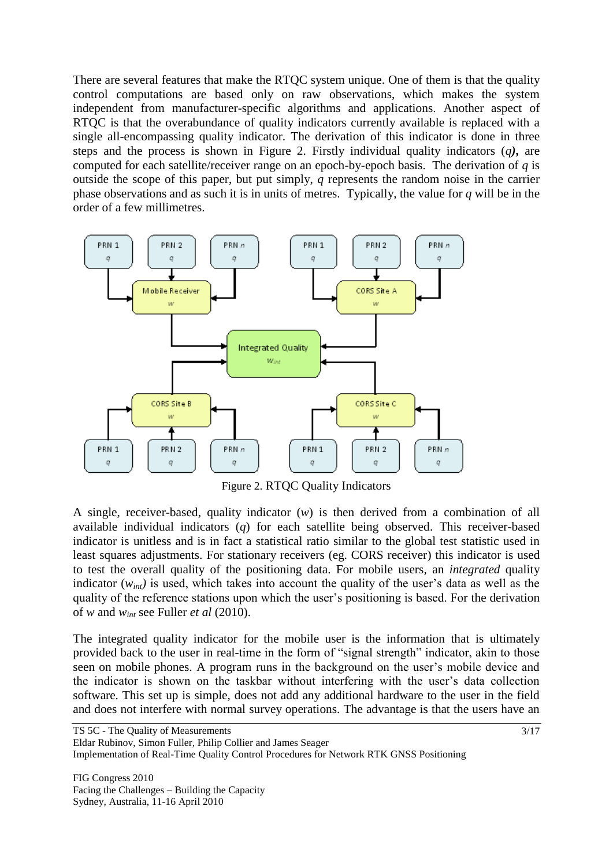There are several features that make the RTQC system unique. One of them is that the quality control computations are based only on raw observations, which makes the system independent from manufacturer-specific algorithms and applications. Another aspect of RTQC is that the overabundance of quality indicators currently available is replaced with a single all-encompassing quality indicator. The derivation of this indicator is done in three steps and the process is shown in Figure 2. Firstly individual quality indicators (*q)***,** are computed for each satellite/receiver range on an epoch-by-epoch basis. The derivation of *q* is outside the scope of this paper, but put simply, *q* represents the random noise in the carrier phase observations and as such it is in units of metres. Typically, the value for *q* will be in the order of a few millimetres.



Figure 2. RTQC Quality Indicators

A single, receiver-based, quality indicator (*w*) is then derived from a combination of all available individual indicators (*q*) for each satellite being observed. This receiver-based indicator is unitless and is in fact a statistical ratio similar to the global test statistic used in least squares adjustments. For stationary receivers (eg. CORS receiver) this indicator is used to test the overall quality of the positioning data. For mobile users, an *integrated* quality indicator  $(w_{int})$  is used, which takes into account the quality of the user's data as well as the quality of the reference stations upon which the user"s positioning is based. For the derivation of *w* and *wint* see Fuller *et al* (2010).

The integrated quality indicator for the mobile user is the information that is ultimately provided back to the user in real-time in the form of "signal strength" indicator, akin to those seen on mobile phones. A program runs in the background on the user"s mobile device and the indicator is shown on the taskbar without interfering with the user's data collection software. This set up is simple, does not add any additional hardware to the user in the field and does not interfere with normal survey operations. The advantage is that the users have an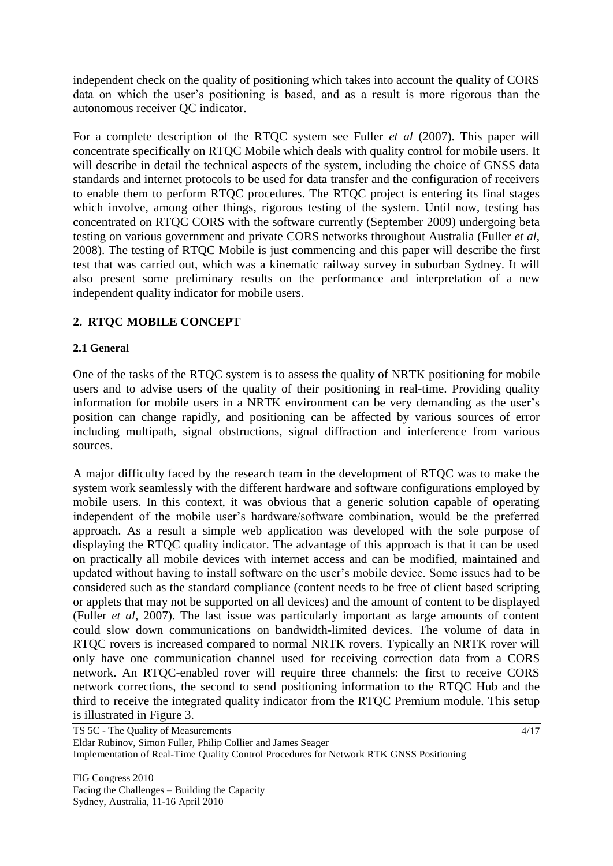independent check on the quality of positioning which takes into account the quality of CORS data on which the user"s positioning is based, and as a result is more rigorous than the autonomous receiver QC indicator.

For a complete description of the RTQC system see Fuller *et al* (2007). This paper will concentrate specifically on RTQC Mobile which deals with quality control for mobile users. It will describe in detail the technical aspects of the system, including the choice of GNSS data standards and internet protocols to be used for data transfer and the configuration of receivers to enable them to perform RTQC procedures. The RTQC project is entering its final stages which involve, among other things, rigorous testing of the system. Until now, testing has concentrated on RTQC CORS with the software currently (September 2009) undergoing beta testing on various government and private CORS networks throughout Australia (Fuller *et al*, 2008). The testing of RTQC Mobile is just commencing and this paper will describe the first test that was carried out, which was a kinematic railway survey in suburban Sydney. It will also present some preliminary results on the performance and interpretation of a new independent quality indicator for mobile users.

## **2. RTQC MOBILE CONCEPT**

### **2.1 General**

One of the tasks of the RTQC system is to assess the quality of NRTK positioning for mobile users and to advise users of the quality of their positioning in real-time. Providing quality information for mobile users in a NRTK environment can be very demanding as the user"s position can change rapidly, and positioning can be affected by various sources of error including multipath, signal obstructions, signal diffraction and interference from various sources.

A major difficulty faced by the research team in the development of RTQC was to make the system work seamlessly with the different hardware and software configurations employed by mobile users. In this context, it was obvious that a generic solution capable of operating independent of the mobile user"s hardware/software combination, would be the preferred approach. As a result a simple web application was developed with the sole purpose of displaying the RTQC quality indicator. The advantage of this approach is that it can be used on practically all mobile devices with internet access and can be modified, maintained and updated without having to install software on the user"s mobile device. Some issues had to be considered such as the standard compliance (content needs to be free of client based scripting or applets that may not be supported on all devices) and the amount of content to be displayed (Fuller *et al,* 2007). The last issue was particularly important as large amounts of content could slow down communications on bandwidth-limited devices. The volume of data in RTQC rovers is increased compared to normal NRTK rovers. Typically an NRTK rover will only have one communication channel used for receiving correction data from a CORS network. An RTQC-enabled rover will require three channels: the first to receive CORS network corrections, the second to send positioning information to the RTQC Hub and the third to receive the integrated quality indicator from the RTQC Premium module. This setup is illustrated in Figure 3.

TS 5C - The Quality of Measurements Eldar Rubinov, Simon Fuller, Philip Collier and James Seager Implementation of Real-Time Quality Control Procedures for Network RTK GNSS Positioning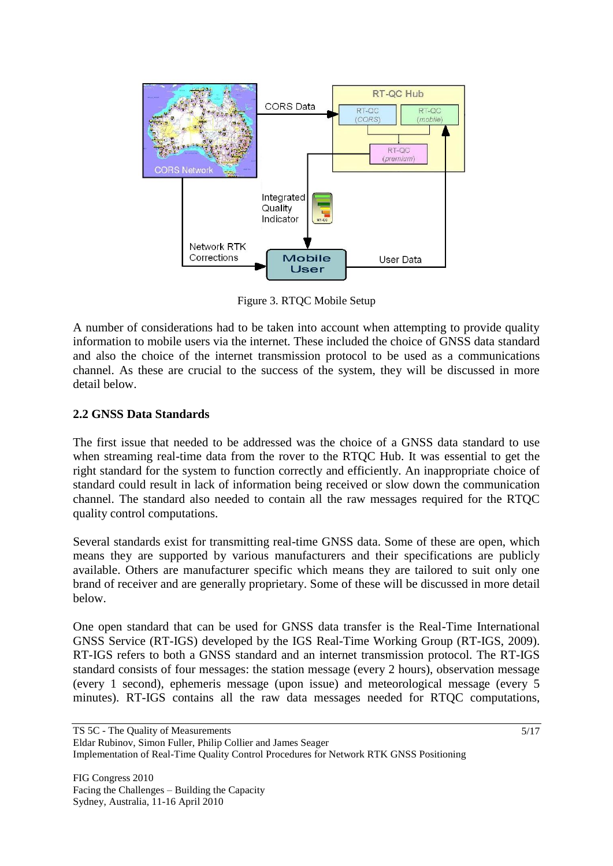

Figure 3. RTQC Mobile Setup

A number of considerations had to be taken into account when attempting to provide quality information to mobile users via the internet. These included the choice of GNSS data standard and also the choice of the internet transmission protocol to be used as a communications channel. As these are crucial to the success of the system, they will be discussed in more detail below.

### **2.2 GNSS Data Standards**

The first issue that needed to be addressed was the choice of a GNSS data standard to use when streaming real-time data from the rover to the RTQC Hub. It was essential to get the right standard for the system to function correctly and efficiently. An inappropriate choice of standard could result in lack of information being received or slow down the communication channel. The standard also needed to contain all the raw messages required for the RTQC quality control computations.

Several standards exist for transmitting real-time GNSS data. Some of these are open, which means they are supported by various manufacturers and their specifications are publicly available. Others are manufacturer specific which means they are tailored to suit only one brand of receiver and are generally proprietary. Some of these will be discussed in more detail below.

One open standard that can be used for GNSS data transfer is the Real-Time International GNSS Service (RT-IGS) developed by the IGS Real-Time Working Group (RT-IGS, 2009). RT-IGS refers to both a GNSS standard and an internet transmission protocol. The RT-IGS standard consists of four messages: the station message (every 2 hours), observation message (every 1 second), ephemeris message (upon issue) and meteorological message (every 5 minutes). RT-IGS contains all the raw data messages needed for RTQC computations,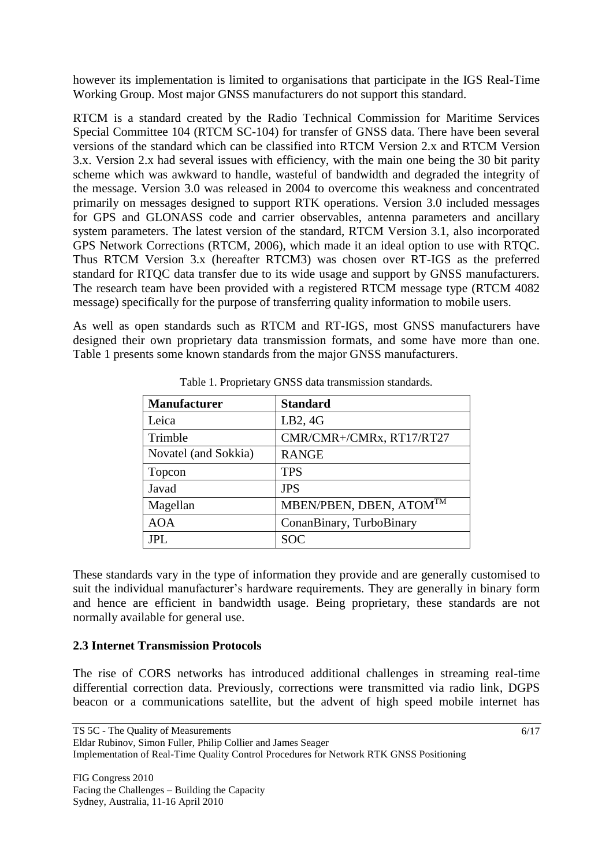however its implementation is limited to organisations that participate in the IGS Real-Time Working Group. Most major GNSS manufacturers do not support this standard.

RTCM is a standard created by the Radio Technical Commission for Maritime Services Special Committee 104 (RTCM SC-104) for transfer of GNSS data. There have been several versions of the standard which can be classified into RTCM Version 2.x and RTCM Version 3.x. Version 2.x had several issues with efficiency, with the main one being the 30 bit parity scheme which was awkward to handle, wasteful of bandwidth and degraded the integrity of the message. Version 3.0 was released in 2004 to overcome this weakness and concentrated primarily on messages designed to support RTK operations. Version 3.0 included messages for GPS and GLONASS code and carrier observables, antenna parameters and ancillary system parameters. The latest version of the standard, RTCM Version 3.1, also incorporated GPS Network Corrections (RTCM, 2006), which made it an ideal option to use with RTQC. Thus RTCM Version 3.x (hereafter RTCM3) was chosen over RT-IGS as the preferred standard for RTQC data transfer due to its wide usage and support by GNSS manufacturers. The research team have been provided with a registered RTCM message type (RTCM 4082 message) specifically for the purpose of transferring quality information to mobile users.

As well as open standards such as RTCM and RT-IGS, most GNSS manufacturers have designed their own proprietary data transmission formats, and some have more than one. Table 1 presents some known standards from the major GNSS manufacturers.

| <b>Manufacturer</b>  | <b>Standard</b>                     |
|----------------------|-------------------------------------|
| Leica                | LB2, 4G                             |
| Trimble              | CMR/CMR+/CMRx, RT17/RT27            |
| Novatel (and Sokkia) | <b>RANGE</b>                        |
| Topcon               | <b>TPS</b>                          |
| Javad                | <b>JPS</b>                          |
| Magellan             | MBEN/PBEN, DBEN, ATOM <sup>TM</sup> |
| <b>AOA</b>           | ConanBinary, TurboBinary            |
| JPL                  | <b>SOC</b>                          |

Table 1. Proprietary GNSS data transmission standards.

These standards vary in the type of information they provide and are generally customised to suit the individual manufacturer's hardware requirements. They are generally in binary form and hence are efficient in bandwidth usage. Being proprietary, these standards are not normally available for general use.

### **2.3 Internet Transmission Protocols**

The rise of CORS networks has introduced additional challenges in streaming real-time differential correction data. Previously, corrections were transmitted via radio link, DGPS beacon or a communications satellite, but the advent of high speed mobile internet has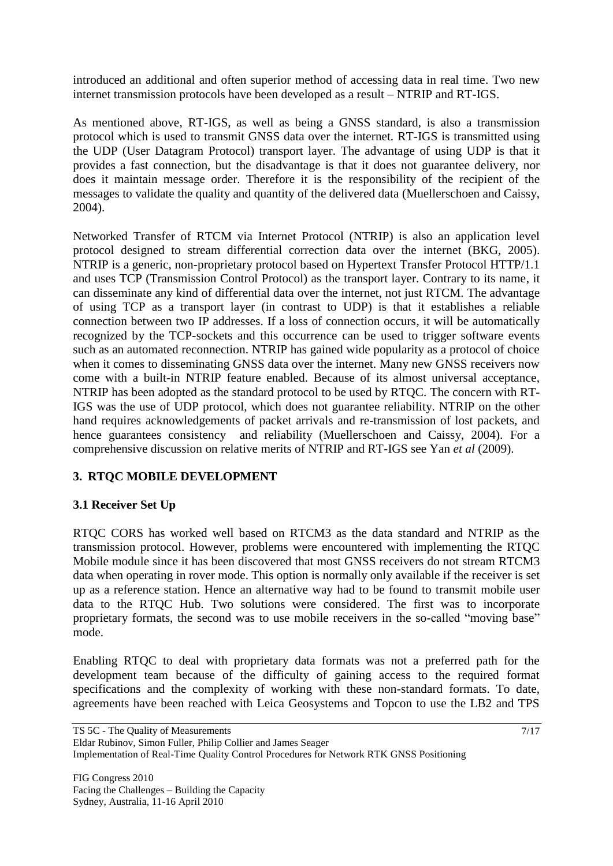introduced an additional and often superior method of accessing data in real time. Two new internet transmission protocols have been developed as a result – NTRIP and RT-IGS.

As mentioned above, RT-IGS, as well as being a GNSS standard, is also a transmission protocol which is used to transmit GNSS data over the internet. RT-IGS is transmitted using the UDP (User Datagram Protocol) transport layer. The advantage of using UDP is that it provides a fast connection, but the disadvantage is that it does not guarantee delivery, nor does it maintain message order. Therefore it is the responsibility of the recipient of the messages to validate the quality and quantity of the delivered data (Muellerschoen and Caissy, 2004).

Networked Transfer of RTCM via Internet Protocol (NTRIP) is also an application level protocol designed to stream differential correction data over the internet (BKG, 2005). NTRIP is a generic, non-proprietary protocol based on Hypertext Transfer Protocol HTTP/1.1 and uses TCP (Transmission Control Protocol) as the transport layer. Contrary to its name, it can disseminate any kind of differential data over the internet, not just RTCM. The advantage of using TCP as a transport layer (in contrast to UDP) is that it establishes a reliable connection between two IP addresses. If a loss of connection occurs, it will be automatically recognized by the TCP-sockets and this occurrence can be used to trigger software events such as an automated reconnection. NTRIP has gained wide popularity as a protocol of choice when it comes to disseminating GNSS data over the internet. Many new GNSS receivers now come with a built-in NTRIP feature enabled. Because of its almost universal acceptance, NTRIP has been adopted as the standard protocol to be used by RTQC. The concern with RT-IGS was the use of UDP protocol, which does not guarantee reliability. NTRIP on the other hand requires acknowledgements of packet arrivals and re-transmission of lost packets, and hence guarantees consistency and reliability (Muellerschoen and Caissy, 2004). For a comprehensive discussion on relative merits of NTRIP and RT-IGS see Yan *et al* (2009).

## **3. RTQC MOBILE DEVELOPMENT**

## **3.1 Receiver Set Up**

RTQC CORS has worked well based on RTCM3 as the data standard and NTRIP as the transmission protocol. However, problems were encountered with implementing the RTQC Mobile module since it has been discovered that most GNSS receivers do not stream RTCM3 data when operating in rover mode. This option is normally only available if the receiver is set up as a reference station. Hence an alternative way had to be found to transmit mobile user data to the RTQC Hub. Two solutions were considered. The first was to incorporate proprietary formats, the second was to use mobile receivers in the so-called "moving base" mode.

Enabling RTQC to deal with proprietary data formats was not a preferred path for the development team because of the difficulty of gaining access to the required format specifications and the complexity of working with these non-standard formats. To date, agreements have been reached with Leica Geosystems and Topcon to use the LB2 and TPS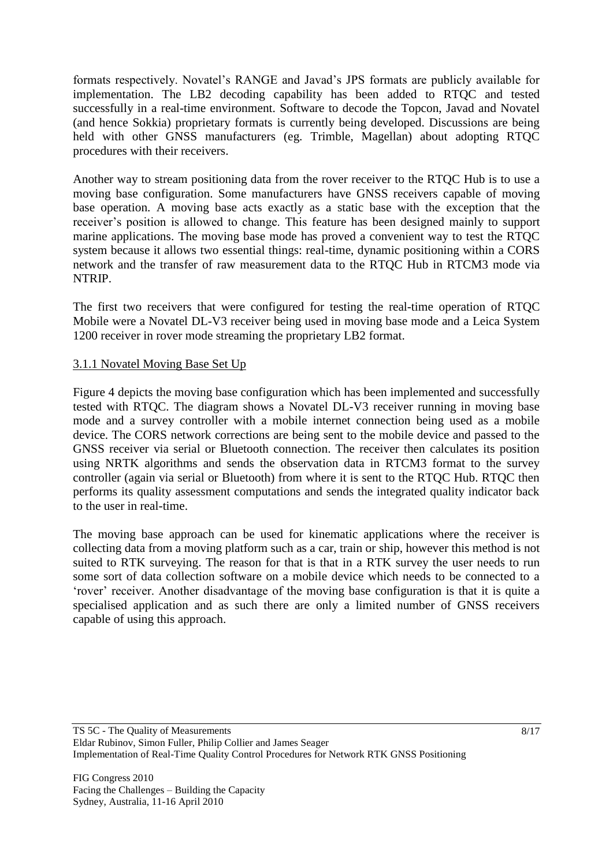formats respectively. Novatel"s RANGE and Javad"s JPS formats are publicly available for implementation. The LB2 decoding capability has been added to RTQC and tested successfully in a real-time environment. Software to decode the Topcon, Javad and Novatel (and hence Sokkia) proprietary formats is currently being developed. Discussions are being held with other GNSS manufacturers (eg. Trimble, Magellan) about adopting RTQC procedures with their receivers.

Another way to stream positioning data from the rover receiver to the RTQC Hub is to use a moving base configuration. Some manufacturers have GNSS receivers capable of moving base operation. A moving base acts exactly as a static base with the exception that the receiver"s position is allowed to change. This feature has been designed mainly to support marine applications. The moving base mode has proved a convenient way to test the RTQC system because it allows two essential things: real-time, dynamic positioning within a CORS network and the transfer of raw measurement data to the RTQC Hub in RTCM3 mode via NTRIP.

The first two receivers that were configured for testing the real-time operation of RTQC Mobile were a Novatel DL-V3 receiver being used in moving base mode and a Leica System 1200 receiver in rover mode streaming the proprietary LB2 format.

### 3.1.1 Novatel Moving Base Set Up

Figure 4 depicts the moving base configuration which has been implemented and successfully tested with RTQC. The diagram shows a Novatel DL-V3 receiver running in moving base mode and a survey controller with a mobile internet connection being used as a mobile device. The CORS network corrections are being sent to the mobile device and passed to the GNSS receiver via serial or Bluetooth connection. The receiver then calculates its position using NRTK algorithms and sends the observation data in RTCM3 format to the survey controller (again via serial or Bluetooth) from where it is sent to the RTQC Hub. RTQC then performs its quality assessment computations and sends the integrated quality indicator back to the user in real-time.

The moving base approach can be used for kinematic applications where the receiver is collecting data from a moving platform such as a car, train or ship, however this method is not suited to RTK surveying. The reason for that is that in a RTK survey the user needs to run some sort of data collection software on a mobile device which needs to be connected to a "rover" receiver. Another disadvantage of the moving base configuration is that it is quite a specialised application and as such there are only a limited number of GNSS receivers capable of using this approach.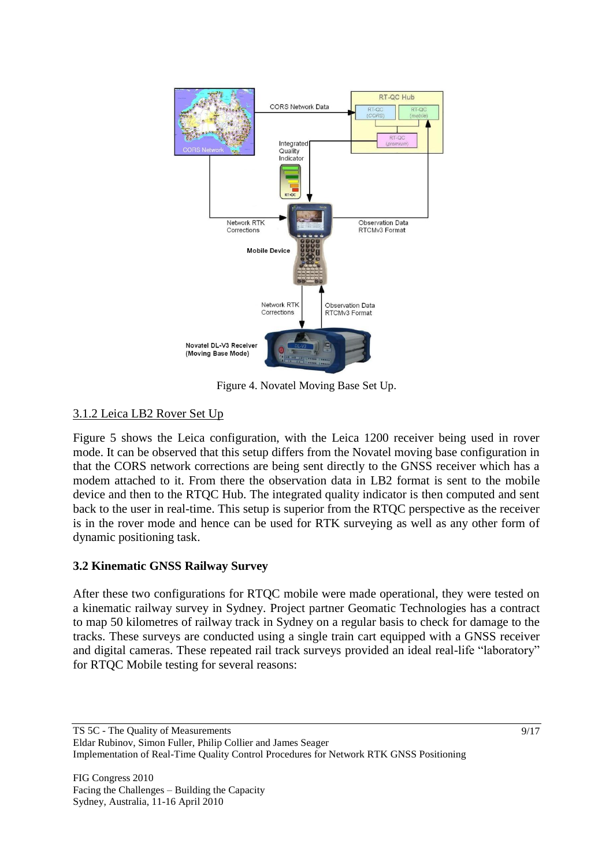

Figure 4. Novatel Moving Base Set Up.

## 3.1.2 Leica LB2 Rover Set Up

Figure 5 shows the Leica configuration, with the Leica 1200 receiver being used in rover mode. It can be observed that this setup differs from the Novatel moving base configuration in that the CORS network corrections are being sent directly to the GNSS receiver which has a modem attached to it. From there the observation data in LB2 format is sent to the mobile device and then to the RTQC Hub. The integrated quality indicator is then computed and sent back to the user in real-time. This setup is superior from the RTQC perspective as the receiver is in the rover mode and hence can be used for RTK surveying as well as any other form of dynamic positioning task.

## **3.2 Kinematic GNSS Railway Survey**

After these two configurations for RTQC mobile were made operational, they were tested on a kinematic railway survey in Sydney. Project partner Geomatic Technologies has a contract to map 50 kilometres of railway track in Sydney on a regular basis to check for damage to the tracks. These surveys are conducted using a single train cart equipped with a GNSS receiver and digital cameras. These repeated rail track surveys provided an ideal real-life "laboratory" for RTQC Mobile testing for several reasons: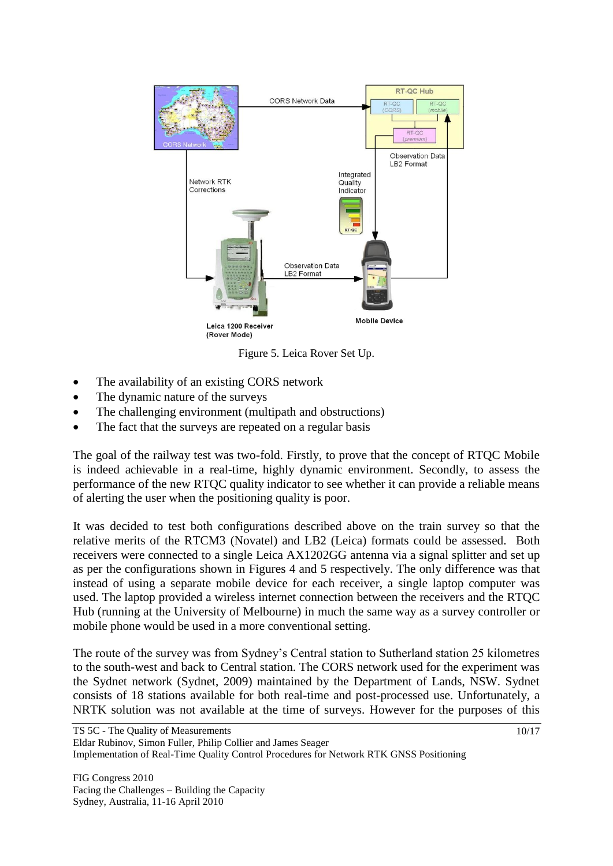

Figure 5. Leica Rover Set Up.

- The availability of an existing CORS network
- The dynamic nature of the surveys
- The challenging environment (multipath and obstructions)
- The fact that the surveys are repeated on a regular basis

The goal of the railway test was two-fold. Firstly, to prove that the concept of RTQC Mobile is indeed achievable in a real-time, highly dynamic environment. Secondly, to assess the performance of the new RTQC quality indicator to see whether it can provide a reliable means of alerting the user when the positioning quality is poor.

It was decided to test both configurations described above on the train survey so that the relative merits of the RTCM3 (Novatel) and LB2 (Leica) formats could be assessed. Both receivers were connected to a single Leica AX1202GG antenna via a signal splitter and set up as per the configurations shown in Figures 4 and 5 respectively. The only difference was that instead of using a separate mobile device for each receiver, a single laptop computer was used. The laptop provided a wireless internet connection between the receivers and the RTQC Hub (running at the University of Melbourne) in much the same way as a survey controller or mobile phone would be used in a more conventional setting.

The route of the survey was from Sydney"s Central station to Sutherland station 25 kilometres to the south-west and back to Central station. The CORS network used for the experiment was the Sydnet network (Sydnet, 2009) maintained by the Department of Lands, NSW. Sydnet consists of 18 stations available for both real-time and post-processed use. Unfortunately, a NRTK solution was not available at the time of surveys. However for the purposes of this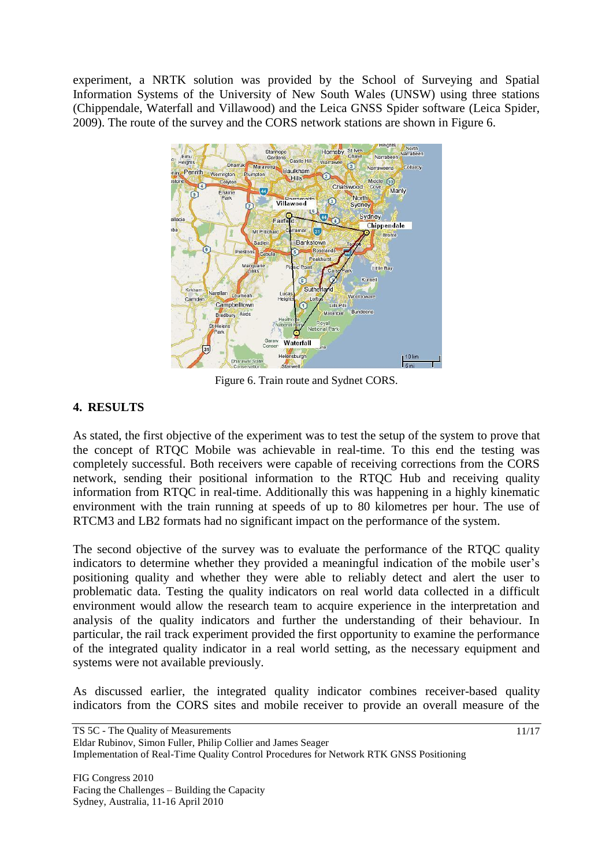experiment, a NRTK solution was provided by the School of Surveying and Spatial Information Systems of the University of New South Wales (UNSW) using three stations (Chippendale, Waterfall and Villawood) and the Leica GNSS Spider software (Leica Spider, 2009). The route of the survey and the CORS network stations are shown in Figure 6.



Figure 6. Train route and Sydnet CORS.

# **4. RESULTS**

As stated, the first objective of the experiment was to test the setup of the system to prove that the concept of RTQC Mobile was achievable in real-time. To this end the testing was completely successful. Both receivers were capable of receiving corrections from the CORS network, sending their positional information to the RTQC Hub and receiving quality information from RTQC in real-time. Additionally this was happening in a highly kinematic environment with the train running at speeds of up to 80 kilometres per hour. The use of RTCM3 and LB2 formats had no significant impact on the performance of the system.

The second objective of the survey was to evaluate the performance of the RTQC quality indicators to determine whether they provided a meaningful indication of the mobile user's positioning quality and whether they were able to reliably detect and alert the user to problematic data. Testing the quality indicators on real world data collected in a difficult environment would allow the research team to acquire experience in the interpretation and analysis of the quality indicators and further the understanding of their behaviour. In particular, the rail track experiment provided the first opportunity to examine the performance of the integrated quality indicator in a real world setting, as the necessary equipment and systems were not available previously.

As discussed earlier, the integrated quality indicator combines receiver-based quality indicators from the CORS sites and mobile receiver to provide an overall measure of the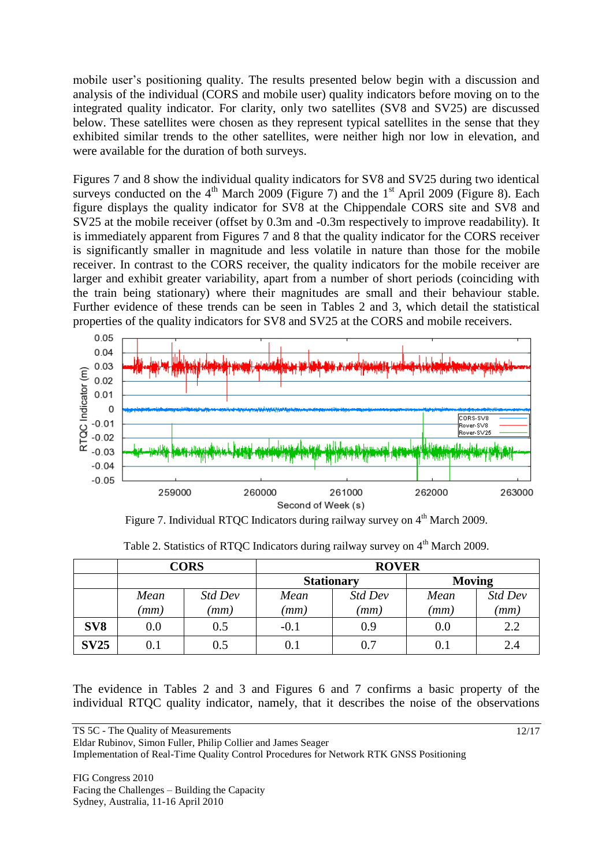mobile user's positioning quality. The results presented below begin with a discussion and analysis of the individual (CORS and mobile user) quality indicators before moving on to the integrated quality indicator. For clarity, only two satellites (SV8 and SV25) are discussed below. These satellites were chosen as they represent typical satellites in the sense that they exhibited similar trends to the other satellites, were neither high nor low in elevation, and were available for the duration of both surveys.

Figures 7 and 8 show the individual quality indicators for SV8 and SV25 during two identical surveys conducted on the  $4<sup>th</sup>$  March 2009 (Figure 7) and the  $1<sup>st</sup>$  April 2009 (Figure 8). Each figure displays the quality indicator for SV8 at the Chippendale CORS site and SV8 and SV25 at the mobile receiver (offset by 0.3m and -0.3m respectively to improve readability). It is immediately apparent from Figures 7 and 8 that the quality indicator for the CORS receiver is significantly smaller in magnitude and less volatile in nature than those for the mobile receiver. In contrast to the CORS receiver, the quality indicators for the mobile receiver are larger and exhibit greater variability, apart from a number of short periods (coinciding with the train being stationary) where their magnitudes are small and their behaviour stable. Further evidence of these trends can be seen in Tables 2 and 3, which detail the statistical properties of the quality indicators for SV8 and SV25 at the CORS and mobile receivers.



Figure 7. Individual RTQC Indicators during railway survey on  $4<sup>th</sup>$  March 2009.

|                 | <b>CORS</b> |         | <b>ROVER</b>      |         |               |         |
|-----------------|-------------|---------|-------------------|---------|---------------|---------|
|                 |             |         | <b>Stationary</b> |         | <b>Moving</b> |         |
|                 | Mean        | Std Dev | Mean              | Std Dev | Mean          | Std Dev |
|                 | (mm         | (mm)    | (mm)              | (mm)    | (mm)          | (mm)    |
| SV <sub>8</sub> | 0.0         | 0.5     | $-0.1$            | 0.9     | 0.0           | 2.2     |
| <b>SV25</b>     | $0.1\,$     | 0.5     | 0.1               | 0.7     | 0.1           | 2.4     |

Table 2. Statistics of RTQC Indicators during railway survey on 4<sup>th</sup> March 2009.

The evidence in Tables 2 and 3 and Figures 6 and 7 confirms a basic property of the individual RTQC quality indicator, namely, that it describes the noise of the observations

Eldar Rubinov, Simon Fuller, Philip Collier and James Seager

Implementation of Real-Time Quality Control Procedures for Network RTK GNSS Positioning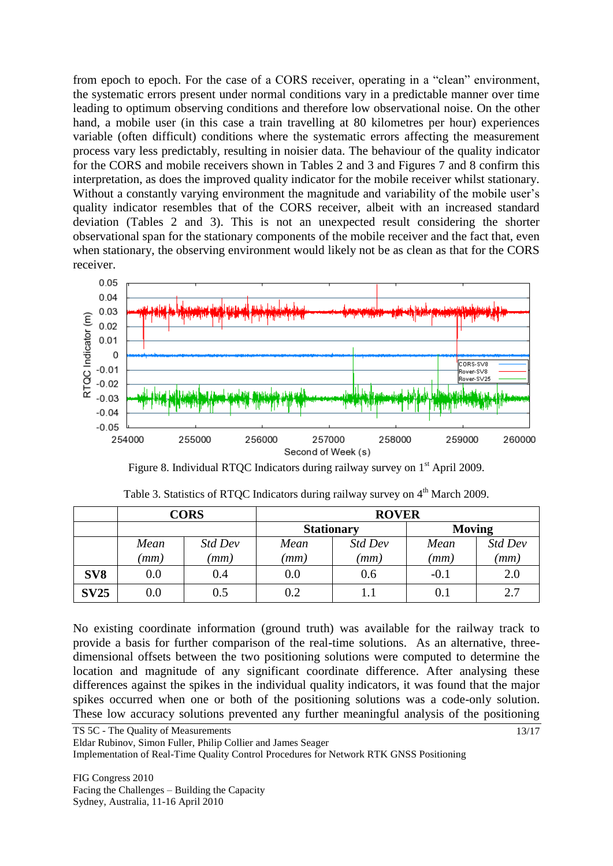from epoch to epoch. For the case of a CORS receiver, operating in a "clean" environment, the systematic errors present under normal conditions vary in a predictable manner over time leading to optimum observing conditions and therefore low observational noise. On the other hand, a mobile user (in this case a train travelling at 80 kilometres per hour) experiences variable (often difficult) conditions where the systematic errors affecting the measurement process vary less predictably, resulting in noisier data. The behaviour of the quality indicator for the CORS and mobile receivers shown in Tables 2 and 3 and Figures 7 and 8 confirm this interpretation, as does the improved quality indicator for the mobile receiver whilst stationary. Without a constantly varying environment the magnitude and variability of the mobile user's quality indicator resembles that of the CORS receiver, albeit with an increased standard deviation (Tables 2 and 3). This is not an unexpected result considering the shorter observational span for the stationary components of the mobile receiver and the fact that, even when stationary, the observing environment would likely not be as clean as that for the CORS receiver.



Figure 8. Individual RTQC Indicators during railway survey on 1<sup>st</sup> April 2009.

|                 | <b>CORS</b> |         | <b>ROVER</b>      |         |               |         |
|-----------------|-------------|---------|-------------------|---------|---------------|---------|
|                 |             |         | <b>Stationary</b> |         | <b>Moving</b> |         |
|                 | Mean        | Std Dev | Mean              | Std Dev | Mean          | Std Dev |
|                 | (mm         | (mm)    | (mm               | (mm     | (mm)          | (mm)    |
| SV <sub>8</sub> | 0.0         | 0.4     | 0.0               | 0.6     | $-0.1$        | 2.0     |
| <b>SV25</b>     | 0.0         | 0.5     | 0.2               |         | 0.1           | 2.7     |

| Table 3. Statistics of RTQC Indicators during railway survey on 4 <sup>th</sup> March 2009. |  |  |
|---------------------------------------------------------------------------------------------|--|--|
|                                                                                             |  |  |

No existing coordinate information (ground truth) was available for the railway track to provide a basis for further comparison of the real-time solutions. As an alternative, threedimensional offsets between the two positioning solutions were computed to determine the location and magnitude of any significant coordinate difference. After analysing these differences against the spikes in the individual quality indicators, it was found that the major spikes occurred when one or both of the positioning solutions was a code-only solution. These low accuracy solutions prevented any further meaningful analysis of the positioning

TS 5C - The Quality of Measurements

Eldar Rubinov, Simon Fuller, Philip Collier and James Seager

Implementation of Real-Time Quality Control Procedures for Network RTK GNSS Positioning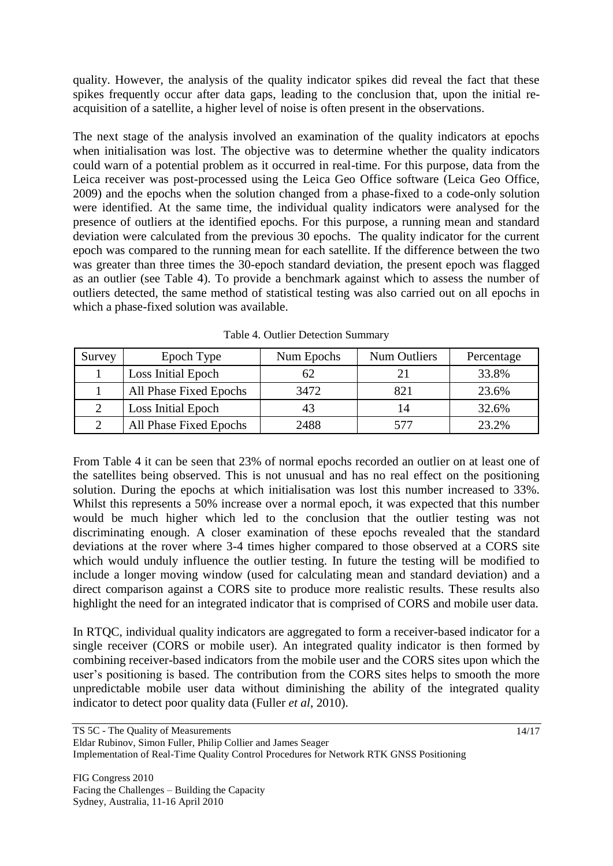quality. However, the analysis of the quality indicator spikes did reveal the fact that these spikes frequently occur after data gaps, leading to the conclusion that, upon the initial reacquisition of a satellite, a higher level of noise is often present in the observations.

The next stage of the analysis involved an examination of the quality indicators at epochs when initialisation was lost. The objective was to determine whether the quality indicators could warn of a potential problem as it occurred in real-time. For this purpose, data from the Leica receiver was post-processed using the Leica Geo Office software (Leica Geo Office, 2009) and the epochs when the solution changed from a phase-fixed to a code-only solution were identified. At the same time, the individual quality indicators were analysed for the presence of outliers at the identified epochs. For this purpose, a running mean and standard deviation were calculated from the previous 30 epochs. The quality indicator for the current epoch was compared to the running mean for each satellite. If the difference between the two was greater than three times the 30-epoch standard deviation, the present epoch was flagged as an outlier (see Table 4). To provide a benchmark against which to assess the number of outliers detected, the same method of statistical testing was also carried out on all epochs in which a phase-fixed solution was available.

| Survey | Epoch Type             | Num Epochs | <b>Num Outliers</b> | Percentage |
|--------|------------------------|------------|---------------------|------------|
|        | Loss Initial Epoch     |            |                     | 33.8%      |
|        | All Phase Fixed Epochs | 3472       | 821                 | 23.6%      |
|        | Loss Initial Epoch     |            |                     | 32.6%      |
|        | All Phase Fixed Epochs | 2488       |                     | 23.2%      |

Table 4. Outlier Detection Summary

From Table 4 it can be seen that 23% of normal epochs recorded an outlier on at least one of the satellites being observed. This is not unusual and has no real effect on the positioning solution. During the epochs at which initialisation was lost this number increased to 33%. Whilst this represents a 50% increase over a normal epoch, it was expected that this number would be much higher which led to the conclusion that the outlier testing was not discriminating enough. A closer examination of these epochs revealed that the standard deviations at the rover where 3-4 times higher compared to those observed at a CORS site which would unduly influence the outlier testing. In future the testing will be modified to include a longer moving window (used for calculating mean and standard deviation) and a direct comparison against a CORS site to produce more realistic results. These results also highlight the need for an integrated indicator that is comprised of CORS and mobile user data.

In RTQC, individual quality indicators are aggregated to form a receiver-based indicator for a single receiver (CORS or mobile user). An integrated quality indicator is then formed by combining receiver-based indicators from the mobile user and the CORS sites upon which the user's positioning is based. The contribution from the CORS sites helps to smooth the more unpredictable mobile user data without diminishing the ability of the integrated quality indicator to detect poor quality data (Fuller *et al*, 2010).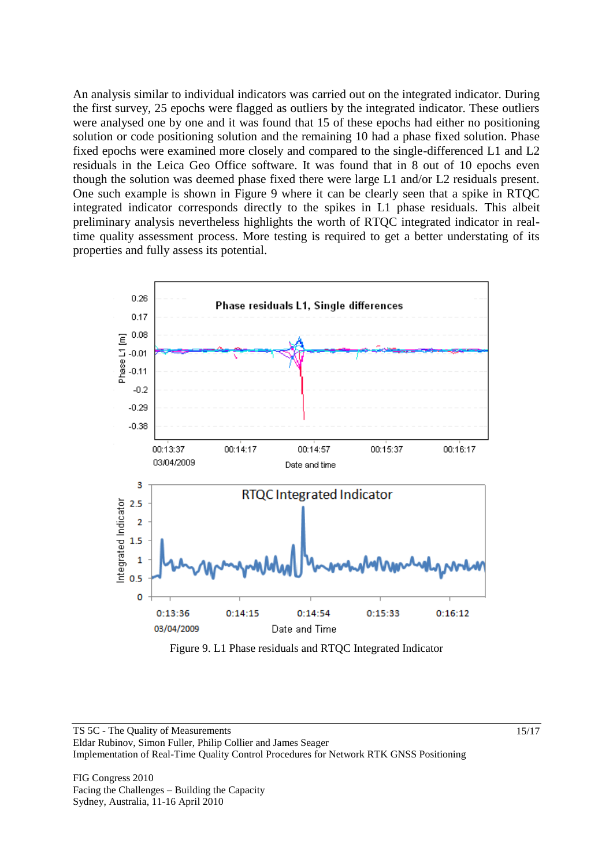An analysis similar to individual indicators was carried out on the integrated indicator. During the first survey, 25 epochs were flagged as outliers by the integrated indicator. These outliers were analysed one by one and it was found that 15 of these epochs had either no positioning solution or code positioning solution and the remaining 10 had a phase fixed solution. Phase fixed epochs were examined more closely and compared to the single-differenced L1 and L2 residuals in the Leica Geo Office software. It was found that in 8 out of 10 epochs even though the solution was deemed phase fixed there were large L1 and/or L2 residuals present. One such example is shown in Figure 9 where it can be clearly seen that a spike in RTQC integrated indicator corresponds directly to the spikes in L1 phase residuals. This albeit preliminary analysis nevertheless highlights the worth of RTQC integrated indicator in realtime quality assessment process. More testing is required to get a better understating of its properties and fully assess its potential.



Figure 9. L1 Phase residuals and RTQC Integrated Indicator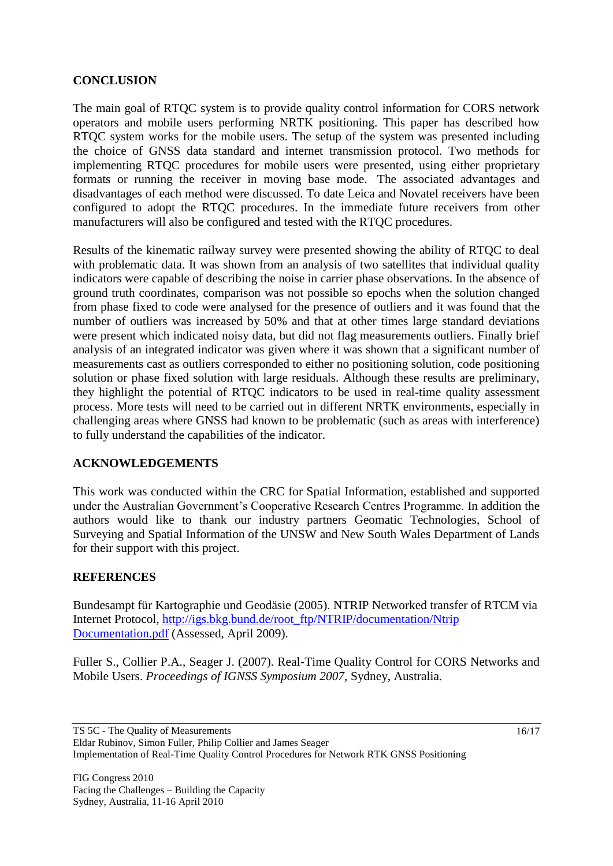### **CONCLUSION**

The main goal of RTQC system is to provide quality control information for CORS network operators and mobile users performing NRTK positioning. This paper has described how RTQC system works for the mobile users. The setup of the system was presented including the choice of GNSS data standard and internet transmission protocol. Two methods for implementing RTQC procedures for mobile users were presented, using either proprietary formats or running the receiver in moving base mode. The associated advantages and disadvantages of each method were discussed. To date Leica and Novatel receivers have been configured to adopt the RTQC procedures. In the immediate future receivers from other manufacturers will also be configured and tested with the RTQC procedures.

Results of the kinematic railway survey were presented showing the ability of RTQC to deal with problematic data. It was shown from an analysis of two satellites that individual quality indicators were capable of describing the noise in carrier phase observations. In the absence of ground truth coordinates, comparison was not possible so epochs when the solution changed from phase fixed to code were analysed for the presence of outliers and it was found that the number of outliers was increased by 50% and that at other times large standard deviations were present which indicated noisy data, but did not flag measurements outliers. Finally brief analysis of an integrated indicator was given where it was shown that a significant number of measurements cast as outliers corresponded to either no positioning solution, code positioning solution or phase fixed solution with large residuals. Although these results are preliminary, they highlight the potential of RTQC indicators to be used in real-time quality assessment process. More tests will need to be carried out in different NRTK environments, especially in challenging areas where GNSS had known to be problematic (such as areas with interference) to fully understand the capabilities of the indicator.

### **ACKNOWLEDGEMENTS**

This work was conducted within the CRC for Spatial Information, established and supported under the Australian Government's Cooperative Research Centres Programme. In addition the authors would like to thank our industry partners Geomatic Technologies, School of Surveying and Spatial Information of the UNSW and New South Wales Department of Lands for their support with this project.

### **REFERENCES**

Bundesampt für Kartographie und Geodäsie (2005). NTRIP Networked transfer of RTCM via Internet Protocol, [http://igs.bkg.bund.de/root\\_ftp/NTRIP/documentation/Ntrip](http://igs.bkg.bund.de/root_ftp/NTRIP/documentation/Ntrip%20Documentation.pdf)  [Documentation.pdf](http://igs.bkg.bund.de/root_ftp/NTRIP/documentation/Ntrip%20Documentation.pdf) (Assessed, April 2009).

Fuller S., Collier P.A., Seager J. (2007). Real-Time Quality Control for CORS Networks and Mobile Users. *Proceedings of IGNSS Symposium 2007,* Sydney, Australia.